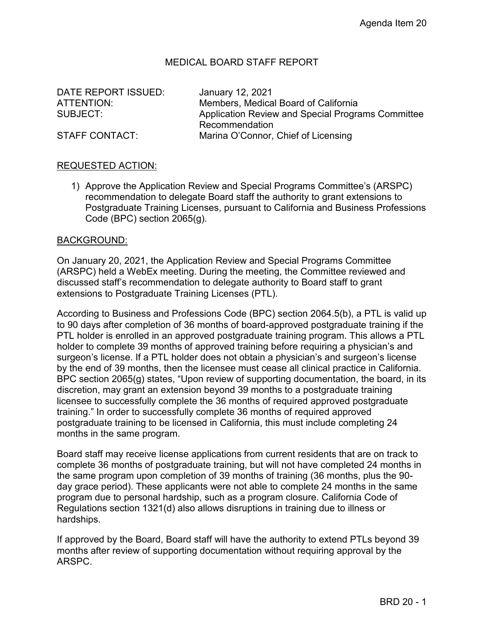## MEDICAL BOARD STAFF REPORT

DATE REPORT ISSUED: January 12, 2021

ATTENTION: Members, Medical Board of California SUBJECT: Application Review and Special Programs Committee Recommendation STAFF CONTACT: Marina O'Connor, Chief of Licensing

## REQUESTED ACTION:

1) Approve the Application Review and Special Programs Committee's (ARSPC) recommendation to delegate Board staff the authority to grant extensions to Postgraduate Training Licenses, pursuant to California and Business Professions Code (BPC) section 2065(g).

## BACKGROUND:

On January 20, 2021, the Application Review and Special Programs Committee (ARSPC) held a WebEx meeting. During the meeting, the Committee reviewed and discussed staff's recommendation to delegate authority to Board staff to grant extensions to Postgraduate Training Licenses (PTL).

According to Business and Professions Code (BPC) section 2064.5(b), a PTL is valid up to 90 days after completion of 36 months of board-approved postgraduate training if the PTL holder is enrolled in an approved postgraduate training program. This allows a PTL holder to complete 39 months of approved training before requiring a physician's and surgeon's license. If a PTL holder does not obtain a physician's and surgeon's license by the end of 39 months, then the licensee must cease all clinical practice in California. BPC section 2065(g) states, "Upon review of supporting documentation, the board, in its discretion, may grant an extension beyond 39 months to a postgraduate training licensee to successfully complete the 36 months of required approved postgraduate training." In order to successfully complete 36 months of required approved postgraduate training to be licensed in California, this must include completing 24 months in the same program.

Board staff may receive license applications from current residents that are on track to complete 36 months of postgraduate training, but will not have completed 24 months in the same program upon completion of 39 months of training (36 months, plus the 90 day grace period). These applicants were not able to complete 24 months in the same program due to personal hardship, such as a program closure. California Code of Regulations section 1321(d) also allows disruptions in training due to illness or hardships.

If approved by the Board, Board staff will have the authority to extend PTLs beyond 39 months after review of supporting documentation without requiring approval by the ARSPC.